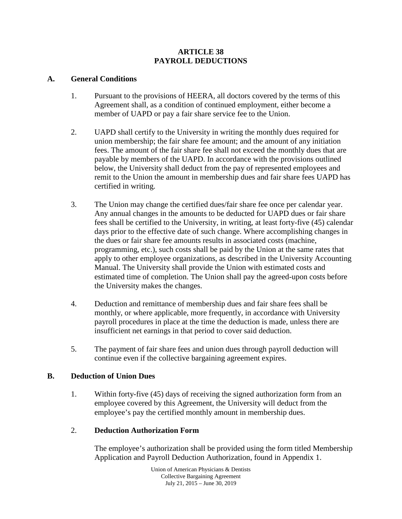## **ARTICLE 38 PAYROLL DEDUCTIONS**

## **A. General Conditions**

- 1. Pursuant to the provisions of HEERA, all doctors covered by the terms of this Agreement shall, as a condition of continued employment, either become a member of UAPD or pay a fair share service fee to the Union.
- 2. UAPD shall certify to the University in writing the monthly dues required for union membership; the fair share fee amount; and the amount of any initiation fees. The amount of the fair share fee shall not exceed the monthly dues that are payable by members of the UAPD. In accordance with the provisions outlined below, the University shall deduct from the pay of represented employees and remit to the Union the amount in membership dues and fair share fees UAPD has certified in writing.
- 3. The Union may change the certified dues/fair share fee once per calendar year. Any annual changes in the amounts to be deducted for UAPD dues or fair share fees shall be certified to the University, in writing, at least forty-five (45) calendar days prior to the effective date of such change. Where accomplishing changes in the dues or fair share fee amounts results in associated costs (machine, programming, etc.), such costs shall be paid by the Union at the same rates that apply to other employee organizations, as described in the University Accounting Manual. The University shall provide the Union with estimated costs and estimated time of completion. The Union shall pay the agreed-upon costs before the University makes the changes.
- 4. Deduction and remittance of membership dues and fair share fees shall be monthly, or where applicable, more frequently, in accordance with University payroll procedures in place at the time the deduction is made, unless there are insufficient net earnings in that period to cover said deduction.
- 5. The payment of fair share fees and union dues through payroll deduction will continue even if the collective bargaining agreement expires.

## **B. Deduction of Union Dues**

1. Within forty-five (45) days of receiving the signed authorization form from an employee covered by this Agreement, the University will deduct from the employee's pay the certified monthly amount in membership dues.

# 2. **Deduction Authorization Form**

The employee's authorization shall be provided using the form titled Membership Application and Payroll Deduction Authorization, found in Appendix 1.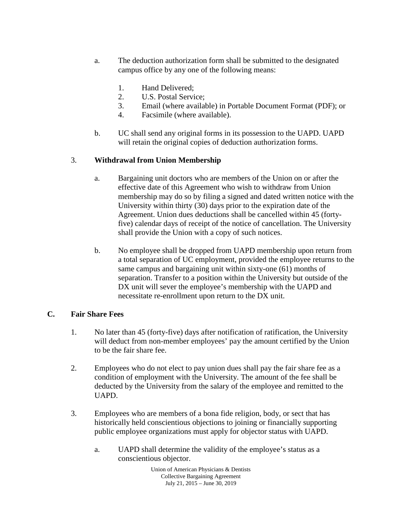- a. The deduction authorization form shall be submitted to the designated campus office by any one of the following means:
	- 1. Hand Delivered;
	- 2. U.S. Postal Service;
	- 3. Email (where available) in Portable Document Format (PDF); or
	- 4. Facsimile (where available).
- b. UC shall send any original forms in its possession to the UAPD. UAPD will retain the original copies of deduction authorization forms.

## 3. **Withdrawal from Union Membership**

- a. Bargaining unit doctors who are members of the Union on or after the effective date of this Agreement who wish to withdraw from Union membership may do so by filing a signed and dated written notice with the University within thirty (30) days prior to the expiration date of the Agreement. Union dues deductions shall be cancelled within 45 (fortyfive) calendar days of receipt of the notice of cancellation. The University shall provide the Union with a copy of such notices.
- b. No employee shall be dropped from UAPD membership upon return from a total separation of UC employment, provided the employee returns to the same campus and bargaining unit within sixty-one (61) months of separation. Transfer to a position within the University but outside of the DX unit will sever the employee's membership with the UAPD and necessitate re-enrollment upon return to the DX unit.

#### **C. Fair Share Fees**

- 1. No later than 45 (forty-five) days after notification of ratification, the University will deduct from non-member employees' pay the amount certified by the Union to be the fair share fee.
- 2. Employees who do not elect to pay union dues shall pay the fair share fee as a condition of employment with the University. The amount of the fee shall be deducted by the University from the salary of the employee and remitted to the UAPD.
- 3. Employees who are members of a bona fide religion, body, or sect that has historically held conscientious objections to joining or financially supporting public employee organizations must apply for objector status with UAPD.
	- a. UAPD shall determine the validity of the employee's status as a conscientious objector.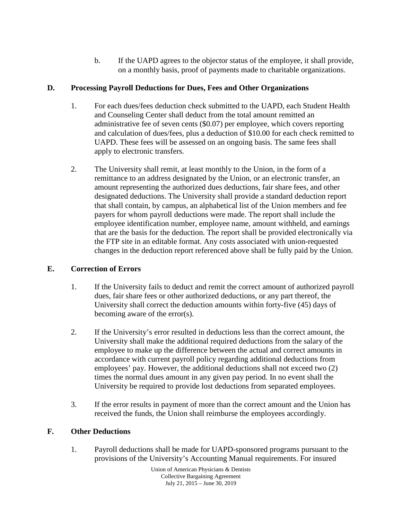b. If the UAPD agrees to the objector status of the employee, it shall provide, on a monthly basis, proof of payments made to charitable organizations.

# **D. Processing Payroll Deductions for Dues, Fees and Other Organizations**

- 1. For each dues/fees deduction check submitted to the UAPD, each Student Health and Counseling Center shall deduct from the total amount remitted an administrative fee of seven cents (\$0.07) per employee, which covers reporting and calculation of dues/fees, plus a deduction of \$10.00 for each check remitted to UAPD. These fees will be assessed on an ongoing basis. The same fees shall apply to electronic transfers.
- 2. The University shall remit, at least monthly to the Union, in the form of a remittance to an address designated by the Union, or an electronic transfer, an amount representing the authorized dues deductions, fair share fees, and other designated deductions. The University shall provide a standard deduction report that shall contain, by campus, an alphabetical list of the Union members and fee payers for whom payroll deductions were made. The report shall include the employee identification number, employee name, amount withheld, and earnings that are the basis for the deduction. The report shall be provided electronically via the FTP site in an editable format. Any costs associated with union-requested changes in the deduction report referenced above shall be fully paid by the Union.

# **E. Correction of Errors**

- 1. If the University fails to deduct and remit the correct amount of authorized payroll dues, fair share fees or other authorized deductions, or any part thereof, the University shall correct the deduction amounts within forty-five (45) days of becoming aware of the error(s).
- 2. If the University's error resulted in deductions less than the correct amount, the University shall make the additional required deductions from the salary of the employee to make up the difference between the actual and correct amounts in accordance with current payroll policy regarding additional deductions from employees' pay. However, the additional deductions shall not exceed two (2) times the normal dues amount in any given pay period. In no event shall the University be required to provide lost deductions from separated employees.
- 3. If the error results in payment of more than the correct amount and the Union has received the funds, the Union shall reimburse the employees accordingly.

# **F. Other Deductions**

1. Payroll deductions shall be made for UAPD-sponsored programs pursuant to the provisions of the University's Accounting Manual requirements. For insured